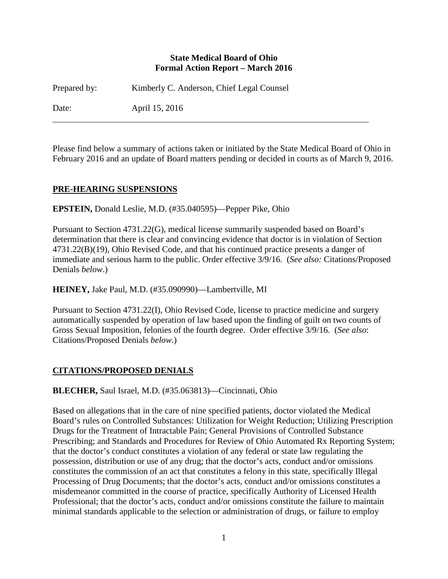### **State Medical Board of Ohio Formal Action Report – March 2016**

Prepared by: Kimberly C. Anderson, Chief Legal Counsel Date: April 15, 2016

Please find below a summary of actions taken or initiated by the State Medical Board of Ohio in February 2016 and an update of Board matters pending or decided in courts as of March 9, 2016.

## **PRE-HEARING SUSPENSIONS**

**EPSTEIN,** Donald Leslie, M.D. (#35.040595)—Pepper Pike, Ohio

Pursuant to Section 4731.22(G), medical license summarily suspended based on Board's determination that there is clear and convincing evidence that doctor is in violation of Section 4731.22(B)(19), Ohio Revised Code, and that his continued practice presents a danger of immediate and serious harm to the public. Order effective 3/9/16. (*See also:* Citations/Proposed Denials *below*.)

**HEINEY,** Jake Paul, M.D. (#35.090990)—Lambertville, MI

Pursuant to Section 4731.22(I), Ohio Revised Code, license to practice medicine and surgery automatically suspended by operation of law based upon the finding of guilt on two counts of Gross Sexual Imposition, felonies of the fourth degree. Order effective 3/9/16. (*See also*: Citations/Proposed Denials *below.*)

## **CITATIONS/PROPOSED DENIALS**

**BLECHER,** Saul Israel, M.D. (#35.063813)—Cincinnati, Ohio

Based on allegations that in the care of nine specified patients, doctor violated the Medical Board's rules on Controlled Substances: Utilization for Weight Reduction; Utilizing Prescription Drugs for the Treatment of Intractable Pain; General Provisions of Controlled Substance Prescribing; and Standards and Procedures for Review of Ohio Automated Rx Reporting System; that the doctor's conduct constitutes a violation of any federal or state law regulating the possession, distribution or use of any drug; that the doctor's acts, conduct and/or omissions constitutes the commission of an act that constitutes a felony in this state, specifically Illegal Processing of Drug Documents; that the doctor's acts, conduct and/or omissions constitutes a misdemeanor committed in the course of practice, specifically Authority of Licensed Health Professional; that the doctor's acts, conduct and/or omissions constitute the failure to maintain minimal standards applicable to the selection or administration of drugs, or failure to employ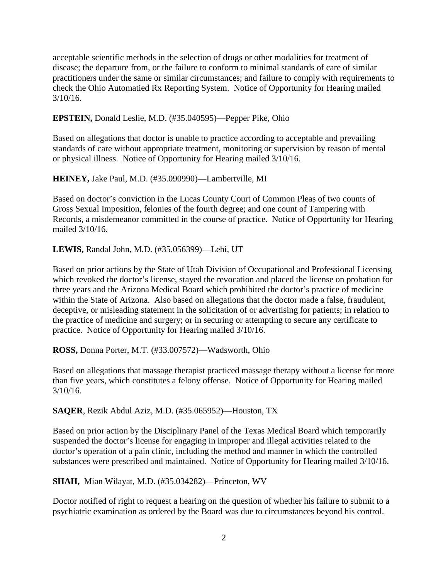acceptable scientific methods in the selection of drugs or other modalities for treatment of disease; the departure from, or the failure to conform to minimal standards of care of similar practitioners under the same or similar circumstances; and failure to comply with requirements to check the Ohio Automatied Rx Reporting System. Notice of Opportunity for Hearing mailed  $3/10/16$ .

**EPSTEIN,** Donald Leslie, M.D. (#35.040595)—Pepper Pike, Ohio

Based on allegations that doctor is unable to practice according to acceptable and prevailing standards of care without appropriate treatment, monitoring or supervision by reason of mental or physical illness. Notice of Opportunity for Hearing mailed 3/10/16.

**HEINEY,** Jake Paul, M.D. (#35.090990)—Lambertville, MI

Based on doctor's conviction in the Lucas County Court of Common Pleas of two counts of Gross Sexual Imposition, felonies of the fourth degree; and one count of Tampering with Records, a misdemeanor committed in the course of practice. Notice of Opportunity for Hearing mailed 3/10/16.

**LEWIS,** Randal John, M.D. (#35.056399)—Lehi, UT

Based on prior actions by the State of Utah Division of Occupational and Professional Licensing which revoked the doctor's license, stayed the revocation and placed the license on probation for three years and the Arizona Medical Board which prohibited the doctor's practice of medicine within the State of Arizona. Also based on allegations that the doctor made a false, fraudulent, deceptive, or misleading statement in the solicitation of or advertising for patients; in relation to the practice of medicine and surgery; or in securing or attempting to secure any certificate to practice. Notice of Opportunity for Hearing mailed 3/10/16.

**ROSS,** Donna Porter, M.T. (#33.007572)—Wadsworth, Ohio

Based on allegations that massage therapist practiced massage therapy without a license for more than five years, which constitutes a felony offense. Notice of Opportunity for Hearing mailed 3/10/16.

**SAQER**, Rezik Abdul Aziz, M.D. (#35.065952)—Houston, TX

Based on prior action by the Disciplinary Panel of the Texas Medical Board which temporarily suspended the doctor's license for engaging in improper and illegal activities related to the doctor's operation of a pain clinic, including the method and manner in which the controlled substances were prescribed and maintained. Notice of Opportunity for Hearing mailed 3/10/16.

**SHAH,** Mian Wilayat, M.D. (#35.034282)—Princeton, WV

Doctor notified of right to request a hearing on the question of whether his failure to submit to a psychiatric examination as ordered by the Board was due to circumstances beyond his control.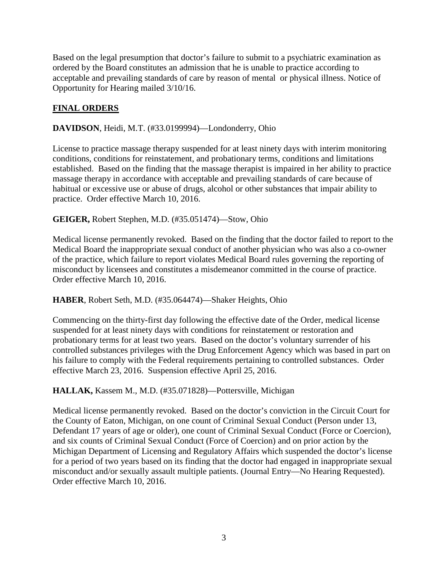Based on the legal presumption that doctor's failure to submit to a psychiatric examination as ordered by the Board constitutes an admission that he is unable to practice according to acceptable and prevailing standards of care by reason of mental or physical illness. Notice of Opportunity for Hearing mailed 3/10/16.

# **FINAL ORDERS**

**DAVIDSON**, Heidi, M.T. (#33.0199994)—Londonderry, Ohio

License to practice massage therapy suspended for at least ninety days with interim monitoring conditions, conditions for reinstatement, and probationary terms, conditions and limitations established. Based on the finding that the massage therapist is impaired in her ability to practice massage therapy in accordance with acceptable and prevailing standards of care because of habitual or excessive use or abuse of drugs, alcohol or other substances that impair ability to practice. Order effective March 10, 2016.

## **GEIGER,** Robert Stephen, M.D. (#35.051474)—Stow, Ohio

Medical license permanently revoked. Based on the finding that the doctor failed to report to the Medical Board the inappropriate sexual conduct of another physician who was also a co-owner of the practice, which failure to report violates Medical Board rules governing the reporting of misconduct by licensees and constitutes a misdemeanor committed in the course of practice. Order effective March 10, 2016.

## **HABER**, Robert Seth, M.D. (#35.064474)—Shaker Heights, Ohio

Commencing on the thirty-first day following the effective date of the Order, medical license suspended for at least ninety days with conditions for reinstatement or restoration and probationary terms for at least two years. Based on the doctor's voluntary surrender of his controlled substances privileges with the Drug Enforcement Agency which was based in part on his failure to comply with the Federal requirements pertaining to controlled substances. Order effective March 23, 2016. Suspension effective April 25, 2016.

## **HALLAK,** Kassem M., M.D. (#35.071828)—Pottersville, Michigan

Medical license permanently revoked. Based on the doctor's conviction in the Circuit Court for the County of Eaton, Michigan, on one count of Criminal Sexual Conduct (Person under 13, Defendant 17 years of age or older), one count of Criminal Sexual Conduct (Force or Coercion), and six counts of Criminal Sexual Conduct (Force of Coercion) and on prior action by the Michigan Department of Licensing and Regulatory Affairs which suspended the doctor's license for a period of two years based on its finding that the doctor had engaged in inappropriate sexual misconduct and/or sexually assault multiple patients. (Journal Entry—No Hearing Requested). Order effective March 10, 2016.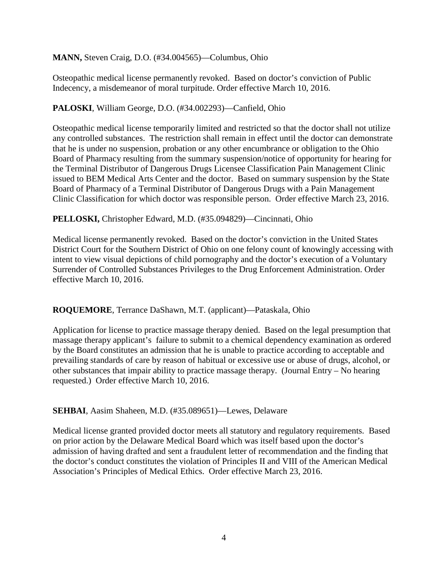**MANN,** Steven Craig, D.O. (#34.004565)—Columbus, Ohio

Osteopathic medical license permanently revoked. Based on doctor's conviction of Public Indecency, a misdemeanor of moral turpitude. Order effective March 10, 2016.

## **PALOSKI**, William George, D.O. (#34.002293)—Canfield, Ohio

Osteopathic medical license temporarily limited and restricted so that the doctor shall not utilize any controlled substances. The restriction shall remain in effect until the doctor can demonstrate that he is under no suspension, probation or any other encumbrance or obligation to the Ohio Board of Pharmacy resulting from the summary suspension/notice of opportunity for hearing for the Terminal Distributor of Dangerous Drugs Licensee Classification Pain Management Clinic issued to BEM Medical Arts Center and the doctor. Based on summary suspension by the State Board of Pharmacy of a Terminal Distributor of Dangerous Drugs with a Pain Management Clinic Classification for which doctor was responsible person. Order effective March 23, 2016.

## **PELLOSKI,** Christopher Edward, M.D. (#35.094829)—Cincinnati, Ohio

Medical license permanently revoked. Based on the doctor's conviction in the United States District Court for the Southern District of Ohio on one felony count of knowingly accessing with intent to view visual depictions of child pornography and the doctor's execution of a Voluntary Surrender of Controlled Substances Privileges to the Drug Enforcement Administration. Order effective March 10, 2016.

## **ROQUEMORE**, Terrance DaShawn, M.T. (applicant)—Pataskala, Ohio

Application for license to practice massage therapy denied. Based on the legal presumption that massage therapy applicant's failure to submit to a chemical dependency examination as ordered by the Board constitutes an admission that he is unable to practice according to acceptable and prevailing standards of care by reason of habitual or excessive use or abuse of drugs, alcohol, or other substances that impair ability to practice massage therapy. (Journal Entry – No hearing requested.) Order effective March 10, 2016.

## **SEHBAI**, Aasim Shaheen, M.D. (#35.089651)—Lewes, Delaware

Medical license granted provided doctor meets all statutory and regulatory requirements. Based on prior action by the Delaware Medical Board which was itself based upon the doctor's admission of having drafted and sent a fraudulent letter of recommendation and the finding that the doctor's conduct constitutes the violation of Principles II and VIII of the American Medical Association's Principles of Medical Ethics. Order effective March 23, 2016.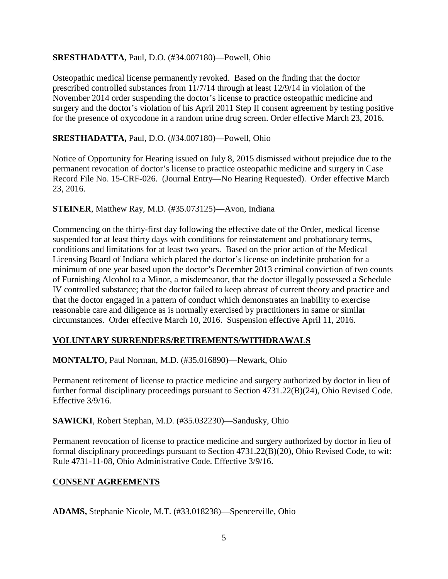## **SRESTHADATTA,** Paul, D.O. (#34.007180)—Powell, Ohio

Osteopathic medical license permanently revoked. Based on the finding that the doctor prescribed controlled substances from 11/7/14 through at least 12/9/14 in violation of the November 2014 order suspending the doctor's license to practice osteopathic medicine and surgery and the doctor's violation of his April 2011 Step II consent agreement by testing positive for the presence of oxycodone in a random urine drug screen. Order effective March 23, 2016.

## **SRESTHADATTA,** Paul, D.O. (#34.007180)—Powell, Ohio

Notice of Opportunity for Hearing issued on July 8, 2015 dismissed without prejudice due to the permanent revocation of doctor's license to practice osteopathic medicine and surgery in Case Record File No. 15-CRF-026. (Journal Entry—No Hearing Requested). Order effective March 23, 2016.

## **STEINER**, Matthew Ray, M.D. (#35.073125)—Avon, Indiana

Commencing on the thirty-first day following the effective date of the Order, medical license suspended for at least thirty days with conditions for reinstatement and probationary terms, conditions and limitations for at least two years. Based on the prior action of the Medical Licensing Board of Indiana which placed the doctor's license on indefinite probation for a minimum of one year based upon the doctor's December 2013 criminal conviction of two counts of Furnishing Alcohol to a Minor, a misdemeanor, that the doctor illegally possessed a Schedule IV controlled substance; that the doctor failed to keep abreast of current theory and practice and that the doctor engaged in a pattern of conduct which demonstrates an inability to exercise reasonable care and diligence as is normally exercised by practitioners in same or similar circumstances. Order effective March 10, 2016. Suspension effective April 11, 2016.

# **VOLUNTARY SURRENDERS/RETIREMENTS/WITHDRAWALS**

# **MONTALTO,** Paul Norman, M.D. (#35.016890)—Newark, Ohio

Permanent retirement of license to practice medicine and surgery authorized by doctor in lieu of further formal disciplinary proceedings pursuant to Section 4731.22(B)(24), Ohio Revised Code. Effective 3/9/16.

**SAWICKI**, Robert Stephan, M.D. (#35.032230)—Sandusky, Ohio

Permanent revocation of license to practice medicine and surgery authorized by doctor in lieu of formal disciplinary proceedings pursuant to Section 4731.22(B)(20), Ohio Revised Code, to wit: Rule 4731-11-08, Ohio Administrative Code. Effective 3/9/16.

# **CONSENT AGREEMENTS**

**ADAMS,** Stephanie Nicole, M.T. (#33.018238)—Spencerville, Ohio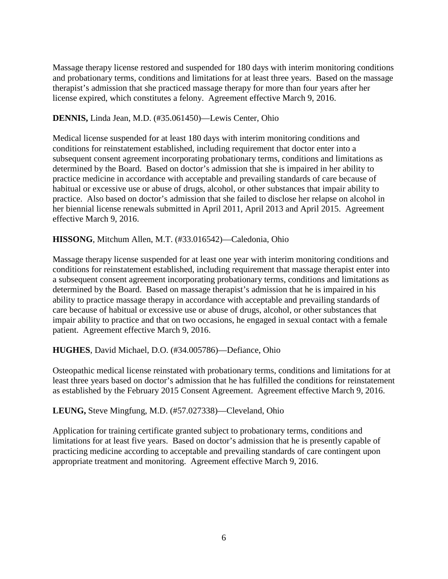Massage therapy license restored and suspended for 180 days with interim monitoring conditions and probationary terms, conditions and limitations for at least three years. Based on the massage therapist's admission that she practiced massage therapy for more than four years after her license expired, which constitutes a felony. Agreement effective March 9, 2016.

### **DENNIS,** Linda Jean, M.D. (#35.061450)—Lewis Center, Ohio

Medical license suspended for at least 180 days with interim monitoring conditions and conditions for reinstatement established, including requirement that doctor enter into a subsequent consent agreement incorporating probationary terms, conditions and limitations as determined by the Board. Based on doctor's admission that she is impaired in her ability to practice medicine in accordance with acceptable and prevailing standards of care because of habitual or excessive use or abuse of drugs, alcohol, or other substances that impair ability to practice. Also based on doctor's admission that she failed to disclose her relapse on alcohol in her biennial license renewals submitted in April 2011, April 2013 and April 2015. Agreement effective March 9, 2016.

### **HISSONG**, Mitchum Allen, M.T. (#33.016542)—Caledonia, Ohio

Massage therapy license suspended for at least one year with interim monitoring conditions and conditions for reinstatement established, including requirement that massage therapist enter into a subsequent consent agreement incorporating probationary terms, conditions and limitations as determined by the Board. Based on massage therapist's admission that he is impaired in his ability to practice massage therapy in accordance with acceptable and prevailing standards of care because of habitual or excessive use or abuse of drugs, alcohol, or other substances that impair ability to practice and that on two occasions, he engaged in sexual contact with a female patient. Agreement effective March 9, 2016.

## **HUGHES**, David Michael, D.O. (#34.005786)—Defiance, Ohio

Osteopathic medical license reinstated with probationary terms, conditions and limitations for at least three years based on doctor's admission that he has fulfilled the conditions for reinstatement as established by the February 2015 Consent Agreement. Agreement effective March 9, 2016.

#### **LEUNG,** Steve Mingfung, M.D. (#57.027338)—Cleveland, Ohio

Application for training certificate granted subject to probationary terms, conditions and limitations for at least five years. Based on doctor's admission that he is presently capable of practicing medicine according to acceptable and prevailing standards of care contingent upon appropriate treatment and monitoring. Agreement effective March 9, 2016.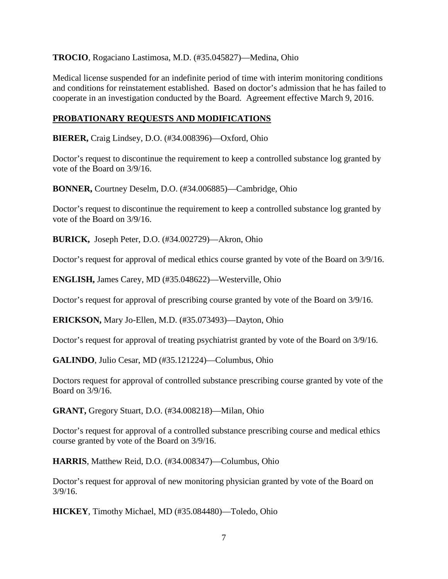**TROCIO**, Rogaciano Lastimosa, M.D. (#35.045827)—Medina, Ohio

Medical license suspended for an indefinite period of time with interim monitoring conditions and conditions for reinstatement established. Based on doctor's admission that he has failed to cooperate in an investigation conducted by the Board. Agreement effective March 9, 2016.

## **PROBATIONARY REQUESTS AND MODIFICATIONS**

**BIERER,** Craig Lindsey, D.O. (#34.008396)—Oxford, Ohio

Doctor's request to discontinue the requirement to keep a controlled substance log granted by vote of the Board on 3/9/16.

**BONNER,** Courtney Deselm, D.O. (#34.006885)—Cambridge, Ohio

Doctor's request to discontinue the requirement to keep a controlled substance log granted by vote of the Board on 3/9/16.

**BURICK,** Joseph Peter, D.O. (#34.002729)—Akron, Ohio

Doctor's request for approval of medical ethics course granted by vote of the Board on 3/9/16.

**ENGLISH,** James Carey, MD (#35.048622)—Westerville, Ohio

Doctor's request for approval of prescribing course granted by vote of the Board on 3/9/16.

**ERICKSON,** Mary Jo-Ellen, M.D. (#35.073493)—Dayton, Ohio

Doctor's request for approval of treating psychiatrist granted by vote of the Board on 3/9/16.

**GALINDO**, Julio Cesar, MD (#35.121224)—Columbus, Ohio

Doctors request for approval of controlled substance prescribing course granted by vote of the Board on 3/9/16.

**GRANT,** Gregory Stuart, D.O. (#34.008218)—Milan, Ohio

Doctor's request for approval of a controlled substance prescribing course and medical ethics course granted by vote of the Board on 3/9/16.

**HARRIS**, Matthew Reid, D.O. (#34.008347)—Columbus, Ohio

Doctor's request for approval of new monitoring physician granted by vote of the Board on 3/9/16.

**HICKEY**, Timothy Michael, MD (#35.084480)—Toledo, Ohio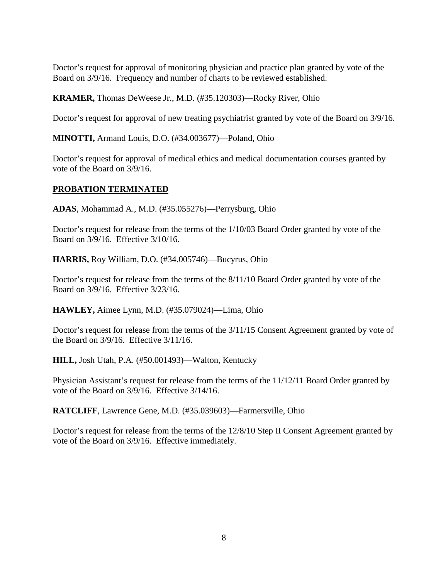Doctor's request for approval of monitoring physician and practice plan granted by vote of the Board on 3/9/16. Frequency and number of charts to be reviewed established.

**KRAMER,** Thomas DeWeese Jr., M.D. (#35.120303)—Rocky River, Ohio

Doctor's request for approval of new treating psychiatrist granted by vote of the Board on 3/9/16.

**MINOTTI,** Armand Louis, D.O. (#34.003677)—Poland, Ohio

Doctor's request for approval of medical ethics and medical documentation courses granted by vote of the Board on 3/9/16.

### **PROBATION TERMINATED**

**ADAS**, Mohammad A., M.D. (#35.055276)—Perrysburg, Ohio

Doctor's request for release from the terms of the 1/10/03 Board Order granted by vote of the Board on 3/9/16. Effective 3/10/16.

**HARRIS,** Roy William, D.O. (#34.005746)—Bucyrus, Ohio

Doctor's request for release from the terms of the 8/11/10 Board Order granted by vote of the Board on 3/9/16. Effective 3/23/16.

**HAWLEY,** Aimee Lynn, M.D. (#35.079024)—Lima, Ohio

Doctor's request for release from the terms of the 3/11/15 Consent Agreement granted by vote of the Board on 3/9/16. Effective 3/11/16.

**HILL,** Josh Utah, P.A. (#50.001493)—Walton, Kentucky

Physician Assistant's request for release from the terms of the 11/12/11 Board Order granted by vote of the Board on 3/9/16. Effective 3/14/16.

**RATCLIFF**, Lawrence Gene, M.D. (#35.039603)—Farmersville, Ohio

Doctor's request for release from the terms of the 12/8/10 Step II Consent Agreement granted by vote of the Board on 3/9/16. Effective immediately.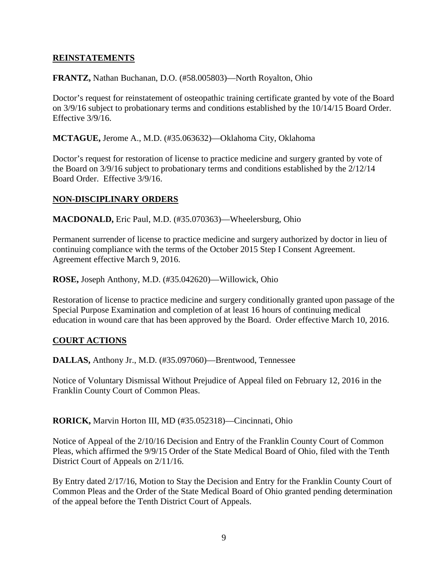### **REINSTATEMENTS**

#### **FRANTZ,** Nathan Buchanan, D.O. (#58.005803)—North Royalton, Ohio

Doctor's request for reinstatement of osteopathic training certificate granted by vote of the Board on 3/9/16 subject to probationary terms and conditions established by the 10/14/15 Board Order. Effective 3/9/16.

**MCTAGUE,** Jerome A., M.D. (#35.063632)—Oklahoma City, Oklahoma

Doctor's request for restoration of license to practice medicine and surgery granted by vote of the Board on 3/9/16 subject to probationary terms and conditions established by the 2/12/14 Board Order. Effective 3/9/16.

### **NON-DISCIPLINARY ORDERS**

**MACDONALD,** Eric Paul, M.D. (#35.070363)—Wheelersburg, Ohio

Permanent surrender of license to practice medicine and surgery authorized by doctor in lieu of continuing compliance with the terms of the October 2015 Step I Consent Agreement. Agreement effective March 9, 2016.

**ROSE,** Joseph Anthony, M.D. (#35.042620)—Willowick, Ohio

Restoration of license to practice medicine and surgery conditionally granted upon passage of the Special Purpose Examination and completion of at least 16 hours of continuing medical education in wound care that has been approved by the Board. Order effective March 10, 2016.

## **COURT ACTIONS**

**DALLAS,** Anthony Jr., M.D. (#35.097060)—Brentwood, Tennessee

Notice of Voluntary Dismissal Without Prejudice of Appeal filed on February 12, 2016 in the Franklin County Court of Common Pleas.

**RORICK,** Marvin Horton III, MD (#35.052318)—Cincinnati, Ohio

Notice of Appeal of the 2/10/16 Decision and Entry of the Franklin County Court of Common Pleas, which affirmed the 9/9/15 Order of the State Medical Board of Ohio, filed with the Tenth District Court of Appeals on 2/11/16.

By Entry dated 2/17/16, Motion to Stay the Decision and Entry for the Franklin County Court of Common Pleas and the Order of the State Medical Board of Ohio granted pending determination of the appeal before the Tenth District Court of Appeals.